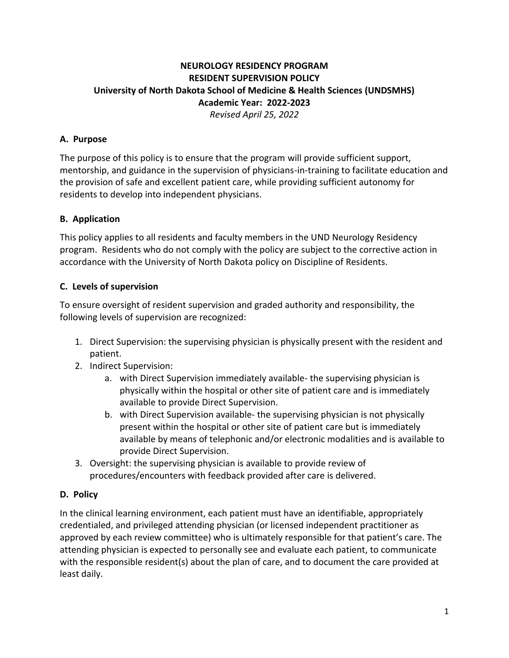# **NEUROLOGY RESIDENCY PROGRAM RESIDENT SUPERVISION POLICY University of North Dakota School of Medicine & Health Sciences (UNDSMHS) Academic Year: 2022-2023** *Revised April 25, 2022*

## **A. Purpose**

The purpose of this policy is to ensure that the program will provide sufficient support, mentorship, and guidance in the supervision of physicians-in-training to facilitate education and the provision of safe and excellent patient care, while providing sufficient autonomy for residents to develop into independent physicians.

### **B. Application**

This policy applies to all residents and faculty members in the UND Neurology Residency program. Residents who do not comply with the policy are subject to the corrective action in accordance with the University of North Dakota policy on Discipline of Residents.

### **C. Levels of supervision**

To ensure oversight of resident supervision and graded authority and responsibility, the following levels of supervision are recognized:

- 1. Direct Supervision: the supervising physician is physically present with the resident and patient.
- 2. Indirect Supervision:
	- a. with Direct Supervision immediately available- the supervising physician is physically within the hospital or other site of patient care and is immediately available to provide Direct Supervision.
	- b. with Direct Supervision available- the supervising physician is not physically present within the hospital or other site of patient care but is immediately available by means of telephonic and/or electronic modalities and is available to provide Direct Supervision.
- 3. Oversight: the supervising physician is available to provide review of procedures/encounters with feedback provided after care is delivered.

#### **D. Policy**

In the clinical learning environment, each patient must have an identifiable, appropriately credentialed, and privileged attending physician (or licensed independent practitioner as approved by each review committee) who is ultimately responsible for that patient's care. The attending physician is expected to personally see and evaluate each patient, to communicate with the responsible resident(s) about the plan of care, and to document the care provided at least daily.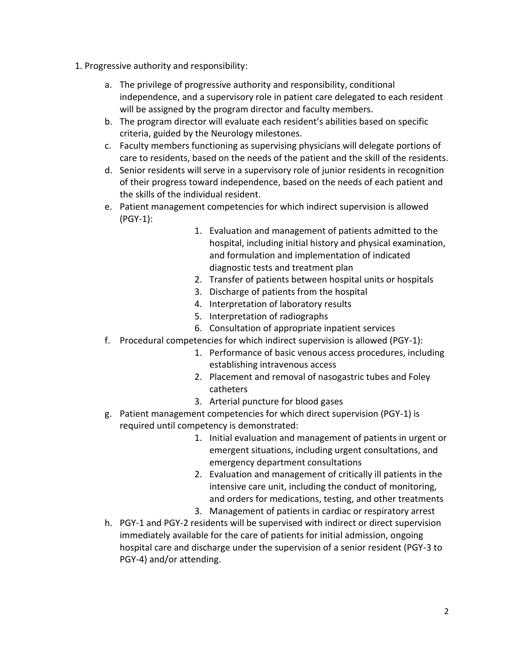- 1. Progressive authority and responsibility:
	- a. The privilege of progressive authority and responsibility, conditional independence, and a supervisory role in patient care delegated to each resident will be assigned by the program director and faculty members.
	- b. The program director will evaluate each resident's abilities based on specific criteria, guided by the Neurology milestones.
	- c. Faculty members functioning as supervising physicians will delegate portions of care to residents, based on the needs of the patient and the skill of the residents.
	- d. Senior residents will serve in a supervisory role of junior residents in recognition of their progress toward independence, based on the needs of each patient and the skills of the individual resident.
	- e. Patient management competencies for which indirect supervision is allowed (PGY-1):
		- 1. Evaluation and management of patients admitted to the hospital, including initial history and physical examination, and formulation and implementation of indicated diagnostic tests and treatment plan
		- 2. Transfer of patients between hospital units or hospitals
		- 3. Discharge of patients from the hospital
		- 4. Interpretation of laboratory results
		- 5. Interpretation of radiographs
		- 6. Consultation of appropriate inpatient services
	- f. Procedural competencies for which indirect supervision is allowed (PGY-1):
		- 1. Performance of basic venous access procedures, including establishing intravenous access
		- 2. Placement and removal of nasogastric tubes and Foley catheters
		- 3. Arterial puncture for blood gases
	- g. Patient management competencies for which direct supervision (PGY-1) is required until competency is demonstrated:
		- 1. Initial evaluation and management of patients in urgent or emergent situations, including urgent consultations, and emergency department consultations
		- 2. Evaluation and management of critically ill patients in the intensive care unit, including the conduct of monitoring, and orders for medications, testing, and other treatments
		- 3. Management of patients in cardiac or respiratory arrest
	- h. PGY-1 and PGY-2 residents will be supervised with indirect or direct supervision immediately available for the care of patients for initial admission, ongoing hospital care and discharge under the supervision of a senior resident (PGY-3 to PGY-4) and/or attending.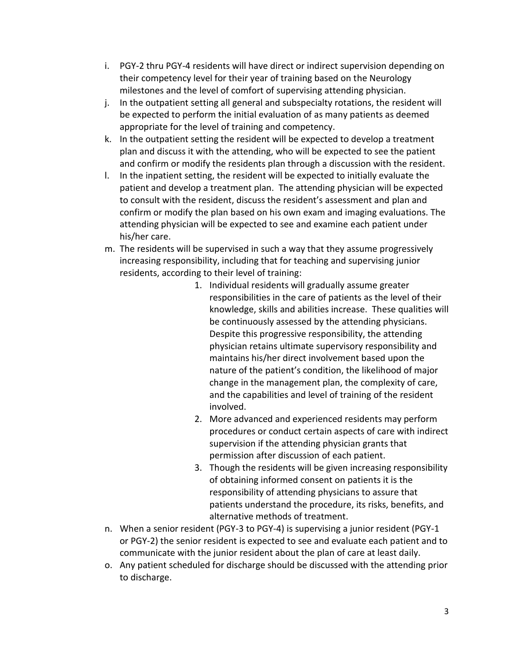- i. PGY-2 thru PGY-4 residents will have direct or indirect supervision depending on their competency level for their year of training based on the Neurology milestones and the level of comfort of supervising attending physician.
- j. In the outpatient setting all general and subspecialty rotations, the resident will be expected to perform the initial evaluation of as many patients as deemed appropriate for the level of training and competency.
- k. In the outpatient setting the resident will be expected to develop a treatment plan and discuss it with the attending, who will be expected to see the patient and confirm or modify the residents plan through a discussion with the resident.
- l. In the inpatient setting, the resident will be expected to initially evaluate the patient and develop a treatment plan. The attending physician will be expected to consult with the resident, discuss the resident's assessment and plan and confirm or modify the plan based on his own exam and imaging evaluations. The attending physician will be expected to see and examine each patient under his/her care.
- m. The residents will be supervised in such a way that they assume progressively increasing responsibility, including that for teaching and supervising junior residents, according to their level of training:
	- 1. Individual residents will gradually assume greater responsibilities in the care of patients as the level of their knowledge, skills and abilities increase. These qualities will be continuously assessed by the attending physicians. Despite this progressive responsibility, the attending physician retains ultimate supervisory responsibility and maintains his/her direct involvement based upon the nature of the patient's condition, the likelihood of major change in the management plan, the complexity of care, and the capabilities and level of training of the resident involved.
	- 2. More advanced and experienced residents may perform procedures or conduct certain aspects of care with indirect supervision if the attending physician grants that permission after discussion of each patient.
	- 3. Though the residents will be given increasing responsibility of obtaining informed consent on patients it is the responsibility of attending physicians to assure that patients understand the procedure, its risks, benefits, and alternative methods of treatment.
- n. When a senior resident (PGY-3 to PGY-4) is supervising a junior resident (PGY-1 or PGY-2) the senior resident is expected to see and evaluate each patient and to communicate with the junior resident about the plan of care at least daily.
- o. Any patient scheduled for discharge should be discussed with the attending prior to discharge.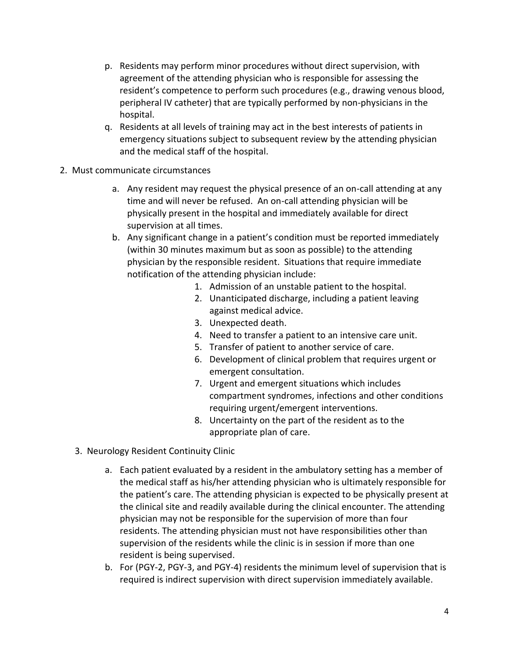- p. Residents may perform minor procedures without direct supervision, with agreement of the attending physician who is responsible for assessing the resident's competence to perform such procedures (e.g., drawing venous blood, peripheral IV catheter) that are typically performed by non-physicians in the hospital.
- q. Residents at all levels of training may act in the best interests of patients in emergency situations subject to subsequent review by the attending physician and the medical staff of the hospital.
- 2. Must communicate circumstances
	- a. Any resident may request the physical presence of an on-call attending at any time and will never be refused. An on-call attending physician will be physically present in the hospital and immediately available for direct supervision at all times.
	- b. Any significant change in a patient's condition must be reported immediately (within 30 minutes maximum but as soon as possible) to the attending physician by the responsible resident. Situations that require immediate notification of the attending physician include:
		- 1. Admission of an unstable patient to the hospital.
		- 2. Unanticipated discharge, including a patient leaving against medical advice.
		- 3. Unexpected death.
		- 4. Need to transfer a patient to an intensive care unit.
		- 5. Transfer of patient to another service of care.
		- 6. Development of clinical problem that requires urgent or emergent consultation.
		- 7. Urgent and emergent situations which includes compartment syndromes, infections and other conditions requiring urgent/emergent interventions.
		- 8. Uncertainty on the part of the resident as to the appropriate plan of care.
	- 3. Neurology Resident Continuity Clinic
		- a. Each patient evaluated by a resident in the ambulatory setting has a member of the medical staff as his/her attending physician who is ultimately responsible for the patient's care. The attending physician is expected to be physically present at the clinical site and readily available during the clinical encounter. The attending physician may not be responsible for the supervision of more than four residents. The attending physician must not have responsibilities other than supervision of the residents while the clinic is in session if more than one resident is being supervised.
		- b. For (PGY-2, PGY-3, and PGY-4) residents the minimum level of supervision that is required is indirect supervision with direct supervision immediately available.